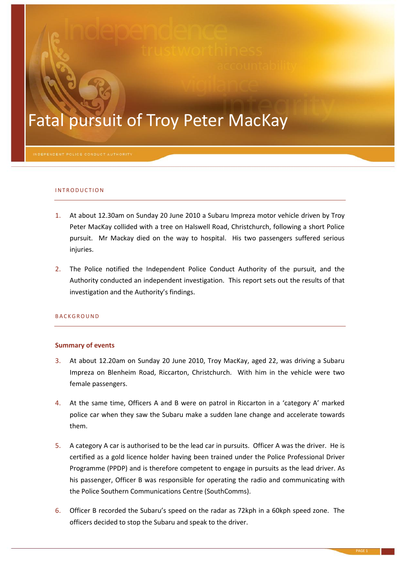# Fatal pursuit of Troy Peter MacKay

#### IN TRODUCTION

- 1. At about 12.30am on Sunday 20 June 2010 a Subaru Impreza motor vehicle driven by Troy Peter MacKay collided with a tree on Halswell Road, Christchurch, following a short Police pursuit. Mr Mackay died on the way to hospital. His two passengers suffered serious injuries.
- 2. The Police notified the Independent Police Conduct Authority of the pursuit, and the Authority conducted an independent investigation. This report sets out the results of that investigation and the Authority's findings.

#### **BACKGROUND**

#### **Summary of events**

- 3. At about 12.20am on Sunday 20 June 2010, Troy MacKay, aged 22, was driving a Subaru Impreza on Blenheim Road, Riccarton, Christchurch. With him in the vehicle were two female passengers.
- 4. At the same time, Officers A and B were on patrol in Riccarton in a 'category A' marked police car when they saw the Subaru make a sudden lane change and accelerate towards them.
- <span id="page-0-0"></span>5. A category A car is authorised to be the lead car in pursuits. Officer A was the driver. He is certified as a gold licence holder having been trained under the Police Professional Driver Programme (PPDP) and is therefore competent to engage in pursuits as the lead driver. As his passenger, Officer B was responsible for operating the radio and communicating with the Police Southern Communications Centre (SouthComms).
- 6. Officer B recorded the Subaru's speed on the radar as 72kph in a 60kph speed zone. The officers decided to stop the Subaru and speak to the driver.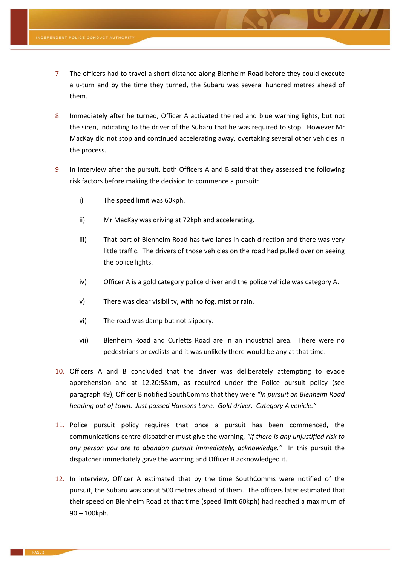- 7. The officers had to travel a short distance along Blenheim Road before they could execute a u-turn and by the time they turned, the Subaru was several hundred metres ahead of them.
- 8. Immediately after he turned, Officer A activated the red and blue warning lights, but not the siren, indicating to the driver of the Subaru that he was required to stop. However Mr MacKay did not stop and continued accelerating away, overtaking several other vehicles in the process.
- <span id="page-1-1"></span>9. In interview after the pursuit, both Officers A and B said that they assessed the following risk factors before making the decision to commence a pursuit:
	- i) The speed limit was 60kph.
	- ii) Mr MacKay was driving at 72kph and accelerating.
	- iii) That part of Blenheim Road has two lanes in each direction and there was very little traffic. The drivers of those vehicles on the road had pulled over on seeing the police lights.
	- iv) Officer A is a gold category police driver and the police vehicle was category A.
	- v) There was clear visibility, with no fog, mist or rain.
	- vi) The road was damp but not slippery.
	- vii) Blenheim Road and Curletts Road are in an industrial area. There were no pedestrians or cyclists and it was unlikely there would be any at that time.
- <span id="page-1-2"></span>10. Officers A and B concluded that the driver was deliberately attempting to evade apprehension and at 12.20:58am, as required under the Police pursuit policy (see paragraph [49\)](#page-7-0), Officer B notified SouthComms that they were *"In pursuit on Blenheim Road heading out of town. Just passed Hansons Lane. Gold driver. Category A vehicle."*
- <span id="page-1-0"></span>11. Police pursuit policy requires that once a pursuit has been commenced, the communications centre dispatcher must give the warning, *"If there is any unjustified risk to any person you are to abandon pursuit immediately, acknowledge."* In this pursuit the dispatcher immediately gave the warning and Officer B acknowledged it.
- 12. In interview, Officer A estimated that by the time SouthComms were notified of the pursuit, the Subaru was about 500 metres ahead of them. The officers later estimated that their speed on Blenheim Road at that time (speed limit 60kph) had reached a maximum of 90 – 100kph.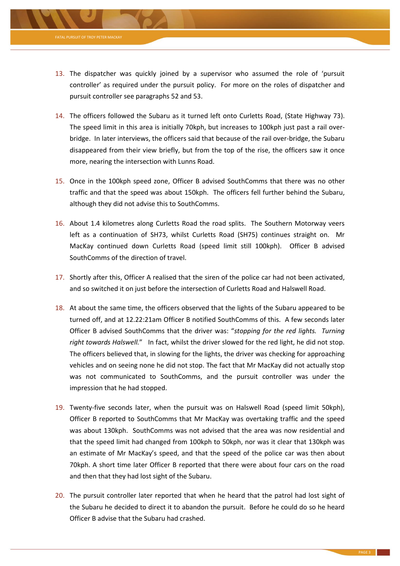

- 13. The dispatcher was quickly joined by a supervisor who assumed the role of 'pursuit controller' as required under the pursuit policy. For more on the roles of dispatcher and pursuit controller see paragraphs [52](#page-7-1) and [53.](#page-7-2)
- 14. The officers followed the Subaru as it turned left onto Curletts Road, (State Highway 73). The speed limit in this area is initially 70kph, but increases to 100kph just past a rail overbridge. In later interviews, the officers said that because of the rail over-bridge, the Subaru disappeared from their view briefly, but from the top of the rise, the officers saw it once more, nearing the intersection with Lunns Road.
- 15. Once in the 100kph speed zone, Officer B advised SouthComms that there was no other traffic and that the speed was about 150kph. The officers fell further behind the Subaru, although they did not advise this to SouthComms.
- 16. About 1.4 kilometres along Curletts Road the road splits. The Southern Motorway veers left as a continuation of SH73, whilst Curletts Road (SH75) continues straight on. Mr MacKay continued down Curletts Road (speed limit still 100kph). Officer B advised SouthComms of the direction of travel.
- 17. Shortly after this, Officer A realised that the siren of the police car had not been activated, and so switched it on just before the intersection of Curletts Road and Halswell Road.
- 18. At about the same time, the officers observed that the lights of the Subaru appeared to be turned off, and at 12.22:21am Officer B notified SouthComms of this. A few seconds later Officer B advised SouthComms that the driver was: "*stopping for the red lights. Turning right towards Halswell.*" In fact, whilst the driver slowed for the red light, he did not stop. The officers believed that, in slowing for the lights, the driver was checking for approaching vehicles and on seeing none he did not stop. The fact that Mr MacKay did not actually stop was not communicated to SouthComms, and the pursuit controller was under the impression that he had stopped.
- 19. Twenty-five seconds later, when the pursuit was on Halswell Road (speed limit 50kph), Officer B reported to SouthComms that Mr MacKay was overtaking traffic and the speed was about 130kph. SouthComms was not advised that the area was now residential and that the speed limit had changed from 100kph to 50kph, nor was it clear that 130kph was an estimate of Mr MacKay's speed, and that the speed of the police car was then about 70kph. A short time later Officer B reported that there were about four cars on the road and then that they had lost sight of the Subaru.
- <span id="page-2-0"></span>20. The pursuit controller later reported that when he heard that the patrol had lost sight of the Subaru he decided to direct it to abandon the pursuit. Before he could do so he heard Officer B advise that the Subaru had crashed.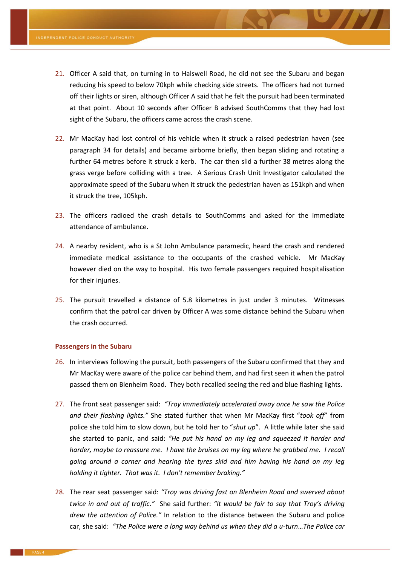- <span id="page-3-0"></span>21. Officer A said that, on turning in to Halswell Road, he did not see the Subaru and began reducing his speed to below 70kph while checking side streets. The officers had not turned off their lights or siren, although Officer A said that he felt the pursuit had been terminated at that point. About 10 seconds after Officer B advised SouthComms that they had lost sight of the Subaru, the officers came across the crash scene.
- 22. Mr MacKay had lost control of his vehicle when it struck a raised pedestrian haven (see paragraph [34](#page-4-0) for details) and became airborne briefly, then began sliding and rotating a further 64 metres before it struck a kerb. The car then slid a further 38 metres along the grass verge before colliding with a tree. A Serious Crash Unit Investigator calculated the approximate speed of the Subaru when it struck the pedestrian haven as 151kph and when it struck the tree, 105kph.
- 23. The officers radioed the crash details to SouthComms and asked for the immediate attendance of ambulance.
- 24. A nearby resident, who is a St John Ambulance paramedic, heard the crash and rendered immediate medical assistance to the occupants of the crashed vehicle. Mr MacKay however died on the way to hospital. His two female passengers required hospitalisation for their injuries.
- 25. The pursuit travelled a distance of 5.8 kilometres in just under 3 minutes. Witnesses confirm that the patrol car driven by Officer A was some distance behind the Subaru when the crash occurred.

#### **Passengers in the Subaru**

- 26. In interviews following the pursuit, both passengers of the Subaru confirmed that they and Mr MacKay were aware of the police car behind them, and had first seen it when the patrol passed them on Blenheim Road. They both recalled seeing the red and blue flashing lights.
- 27. The front seat passenger said: *"Troy immediately accelerated away once he saw the Police and their flashing lights."* She stated further that when Mr MacKay first "*took off*" from police she told him to slow down, but he told her to "*shut up*". A little while later she said she started to panic, and said: *"He put his hand on my leg and squeezed it harder and harder, maybe to reassure me. I have the bruises on my leg where he grabbed me. I recall going around a corner and hearing the tyres skid and him having his hand on my leg holding it tighter. That was it. I don't remember braking."*
- 28. The rear seat passenger said: *"Troy was driving fast on Blenheim Road and swerved about twice in and out of traffic."* She said further: *"It would be fair to say that Troy's driving drew the attention of Police."* In relation to the distance between the Subaru and police car, she said: *"The Police were a long way behind us when they did a u-turn*…*The Police car*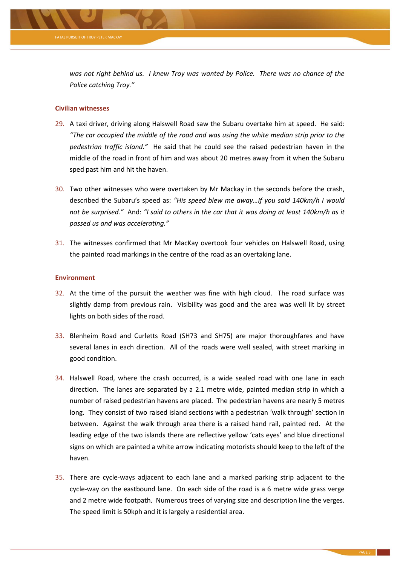

*was not right behind us. I knew Troy was wanted by Police. There was no chance of the Police catching Troy."*

# **Civilian witnesses**

- 29. A taxi driver, driving along Halswell Road saw the Subaru overtake him at speed. He said: *"The car occupied the middle of the road and was using the white median strip prior to the pedestrian traffic island."* He said that he could see the raised pedestrian haven in the middle of the road in front of him and was about 20 metres away from it when the Subaru sped past him and hit the haven.
- 30. Two other witnesses who were overtaken by Mr Mackay in the seconds before the crash, described the Subaru's speed as: *"His speed blew me away…If you said 140km/h I would not be surprised."* And: *"I said to others in the car that it was doing at least 140km/h as it passed us and was accelerating."*
- 31. The witnesses confirmed that Mr MacKay overtook four vehicles on Halswell Road, using the painted road markings in the centre of the road as an overtaking lane.

# **Environment**

- 32. At the time of the pursuit the weather was fine with high cloud. The road surface was slightly damp from previous rain. Visibility was good and the area was well lit by street lights on both sides of the road.
- 33. Blenheim Road and Curletts Road (SH73 and SH75) are major thoroughfares and have several lanes in each direction. All of the roads were well sealed, with street marking in good condition.
- <span id="page-4-0"></span>34. Halswell Road, where the crash occurred, is a wide sealed road with one lane in each direction. The lanes are separated by a 2.1 metre wide, painted median strip in which a number of raised pedestrian havens are placed. The pedestrian havens are nearly 5 metres long. They consist of two raised island sections with a pedestrian 'walk through' section in between. Against the walk through area there is a raised hand rail, painted red. At the leading edge of the two islands there are reflective yellow 'cats eyes' and blue directional signs on which are painted a white arrow indicating motorists should keep to the left of the haven.
- <span id="page-4-1"></span>35. There are cycle-ways adjacent to each lane and a marked parking strip adjacent to the cycle-way on the eastbound lane. On each side of the road is a 6 metre wide grass verge and 2 metre wide footpath. Numerous trees of varying size and description line the verges. The speed limit is 50kph and it is largely a residential area.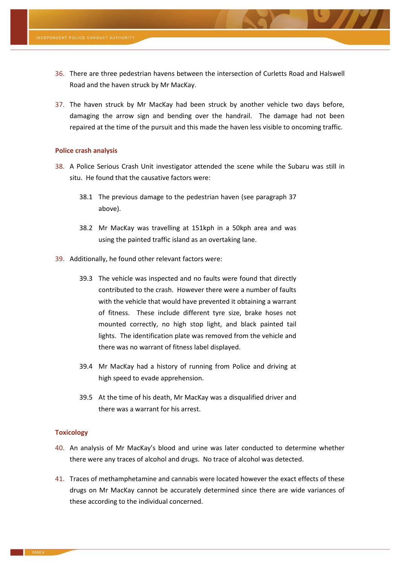- 36. There are three pedestrian havens between the intersection of Curletts Road and Halswell Road and the haven struck by Mr MacKay.
- <span id="page-5-0"></span>37. The haven struck by Mr MacKay had been struck by another vehicle two days before, damaging the arrow sign and bending over the handrail. The damage had not been repaired at the time of the pursuit and this made the haven less visible to oncoming traffic.

# **Police crash analysis**

- 38. A Police Serious Crash Unit investigator attended the scene while the Subaru was still in situ. He found that the causative factors were:
	- 38.1 The previous damage to the pedestrian haven (see paragraph [37](#page-5-0) above).
	- 38.2 Mr MacKay was travelling at 151kph in a 50kph area and was using the painted traffic island as an overtaking lane.
- 39. Additionally, he found other relevant factors were:
	- 39.3 The vehicle was inspected and no faults were found that directly contributed to the crash. However there were a number of faults with the vehicle that would have prevented it obtaining a warrant of fitness. These include different tyre size, brake hoses not mounted correctly, no high stop light, and black painted tail lights. The identification plate was removed from the vehicle and there was no warrant of fitness label displayed.
	- 39.4 Mr MacKay had a history of running from Police and driving at high speed to evade apprehension.
	- 39.5 At the time of his death, Mr MacKay was a disqualified driver and there was a warrant for his arrest.

# **Toxicology**

- 40. An analysis of Mr MacKay's blood and urine was later conducted to determine whether there were any traces of alcohol and drugs. No trace of alcohol was detected.
- 41. Traces of methamphetamine and cannabis were located however the exact effects of these drugs on Mr MacKay cannot be accurately determined since there are wide variances of these according to the individual concerned.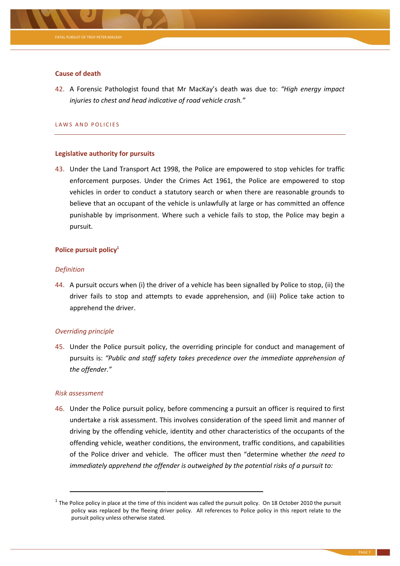

# **Cause of death**

42. A Forensic Pathologist found that Mr MacKay's death was due to: *"High energy impact injuries to chest and head indicative of road vehicle crash."*

#### LAWS AND POLICIES

# **Legislative authority for pursuits**

43. Under the Land Transport Act 1998, the Police are empowered to stop vehicles for traffic enforcement purposes. Under the Crimes Act 1961, the Police are empowered to stop vehicles in order to conduct a statutory search or when there are reasonable grounds to believe that an occupant of the vehicle is unlawfully at large or has committed an offence punishable by imprisonment. Where such a vehicle fails to stop, the Police may begin a pursuit.

# **Police pursuit policy<sup>1</sup>**

# *Definition*

44. A pursuit occurs when (i) the driver of a vehicle has been signalled by Police to stop, (ii) the driver fails to stop and attempts to evade apprehension, and (iii) Police take action to apprehend the driver.

# *Overriding principle*

45. Under the Police pursuit policy, the overriding principle for conduct and management of pursuits is: *"Public and staff safety takes precedence over the immediate apprehension of the offender."*

# *Risk assessment*

**.** 

46. Under the Police pursuit policy, before commencing a pursuit an officer is required to first undertake a risk assessment. This involves consideration of the speed limit and manner of driving by the offending vehicle, identity and other characteristics of the occupants of the offending vehicle, weather conditions, the environment, traffic conditions, and capabilities of the Police driver and vehicle. The officer must then "determine whether *the need to immediately apprehend the offender is outweighed by the potential risks of a pursuit to:*

<sup>&</sup>lt;sup>1</sup> The Police policy in place at the time of this incident was called the pursuit policy. On 18 October 2010 the pursuit policy was replaced by the fleeing driver policy. All references to Police policy in this report relate to the pursuit policy unless otherwise stated.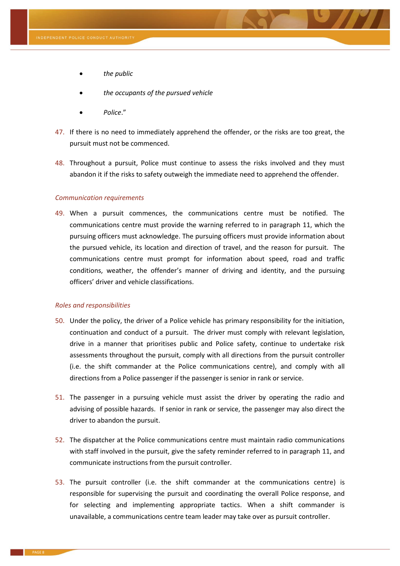- *the public*
- *the occupants of the pursued vehicle*
- *Police*."
- 47. If there is no need to immediately apprehend the offender, or the risks are too great, the pursuit must not be commenced.
- 48. Throughout a pursuit, Police must continue to assess the risks involved and they must abandon it if the risks to safety outweigh the immediate need to apprehend the offender.

# *Communication requirements*

<span id="page-7-0"></span>49. When a pursuit commences, the communications centre must be notified. The communications centre must provide the warning referred to in paragraph [11,](#page-1-0) which the pursuing officers must acknowledge. The pursuing officers must provide information about the pursued vehicle, its location and direction of travel, and the reason for pursuit. The communications centre must prompt for information about speed, road and traffic conditions, weather, the offender's manner of driving and identity, and the pursuing officers' driver and vehicle classifications.

#### *Roles and responsibilities*

- 50. Under the policy, the driver of a Police vehicle has primary responsibility for the initiation, continuation and conduct of a pursuit. The driver must comply with relevant legislation, drive in a manner that prioritises public and Police safety, continue to undertake risk assessments throughout the pursuit, comply with all directions from the pursuit controller (i.e. the shift commander at the Police communications centre), and comply with all directions from a Police passenger if the passenger is senior in rank or service.
- 51. The passenger in a pursuing vehicle must assist the driver by operating the radio and advising of possible hazards. If senior in rank or service, the passenger may also direct the driver to abandon the pursuit.
- <span id="page-7-1"></span>52. The dispatcher at the Police communications centre must maintain radio communications with staff involved in the pursuit, give the safety reminder referred to in paragraph [11,](#page-1-0) and communicate instructions from the pursuit controller.
- <span id="page-7-2"></span>53. The pursuit controller (i.e. the shift commander at the communications centre) is responsible for supervising the pursuit and coordinating the overall Police response, and for selecting and implementing appropriate tactics. When a shift commander is unavailable, a communications centre team leader may take over as pursuit controller.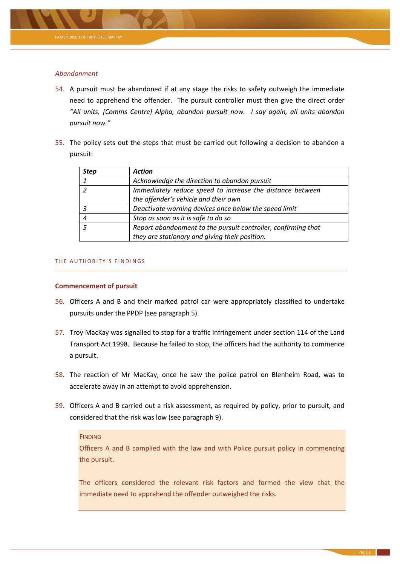

# *Abandonment*

- 54. A pursuit must be abandoned if at any stage the risks to safety outweigh the immediate need to apprehend the offender. The pursuit controller must then give the direct order *"All units, [Comms Centre] Alpha, abandon pursuit now. I say again, all units abandon pursuit now."*
- <span id="page-8-0"></span>55. The policy sets out the steps that must be carried out following a decision to abandon a pursuit:

| <b>Step</b> | <b>Action</b>                                                                                     |
|-------------|---------------------------------------------------------------------------------------------------|
|             | Acknowledge the direction to abandon pursuit                                                      |
|             | Immediately reduce speed to increase the distance between<br>the offender's vehicle and their own |
|             | Deactivate warning devices once below the speed limit                                             |
|             | Stop as soon as it is safe to do so                                                               |
|             | Report abandonment to the pursuit controller, confirming that                                     |
|             | they are stationary and giving their position.                                                    |

# THE AUTHORITY'S FINDINGS

# **Commencement of pursuit**

- 56. Officers A and B and their marked patrol car were appropriately classified to undertake pursuits under the PPDP (see paragrap[h 5\)](#page-0-0).
- 57. Troy MacKay was signalled to stop for a traffic infringement under section 114 of the Land Transport Act 1998. Because he failed to stop, the officers had the authority to commence a pursuit.
- 58. The reaction of Mr MacKay, once he saw the police patrol on Blenheim Road, was to accelerate away in an attempt to avoid apprehension.
- 59. Officers A and B carried out a risk assessment, as required by policy, prior to pursuit, and considered that the risk was low (see paragrap[h 9\)](#page-1-1).

# **FINDING**

Officers A and B complied with the law and with Police pursuit policy in commencing the pursuit.

The officers considered the relevant risk factors and formed the view that the immediate need to apprehend the offender outweighed the risks.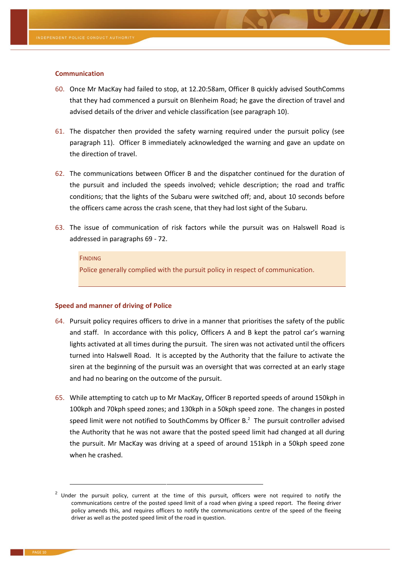#### **Communication**

- 60. Once Mr MacKay had failed to stop, at 12.20:58am, Officer B quickly advised SouthComms that they had commenced a pursuit on Blenheim Road; he gave the direction of travel and advised details of the driver and vehicle classification (see paragraph [10\)](#page-1-2).
- 61. The dispatcher then provided the safety warning required under the pursuit policy (see paragraph [11\)](#page-1-0). Officer B immediately acknowledged the warning and gave an update on the direction of travel.
- 62. The communications between Officer B and the dispatcher continued for the duration of the pursuit and included the speeds involved; vehicle description; the road and traffic conditions; that the lights of the Subaru were switched off; and, about 10 seconds before the officers came across the crash scene, that they had lost sight of the Subaru.
- 63. The issue of communication of risk factors while the pursuit was on Halswell Road is addressed in paragraphs [69](#page-10-0) - [72.](#page-11-0)

#### **FINDING**

Police generally complied with the pursuit policy in respect of communication.

#### **Speed and manner of driving of Police**

- 64. Pursuit policy requires officers to drive in a manner that prioritises the safety of the public and staff. In accordance with this policy, Officers A and B kept the patrol car's warning lights activated at all times during the pursuit. The siren was not activated until the officers turned into Halswell Road. It is accepted by the Authority that the failure to activate the siren at the beginning of the pursuit was an oversight that was corrected at an early stage and had no bearing on the outcome of the pursuit.
- 65. While attempting to catch up to Mr MacKay, Officer B reported speeds of around 150kph in 100kph and 70kph speed zones; and 130kph in a 50kph speed zone. The changes in posted speed limit were not notified to SouthComms by Officer B. $<sup>2</sup>$  The pursuit controller advised</sup> the Authority that he was not aware that the posted speed limit had changed at all during the pursuit. Mr MacKay was driving at a speed of around 151kph in a 50kph speed zone when he crashed.

**.** 

 $2$  Under the pursuit policy, current at the time of this pursuit, officers were not required to notify the communications centre of the posted speed limit of a road when giving a speed report. The fleeing driver policy amends this, and requires officers to notify the communications centre of the speed of the fleeing driver as well as the posted speed limit of the road in question.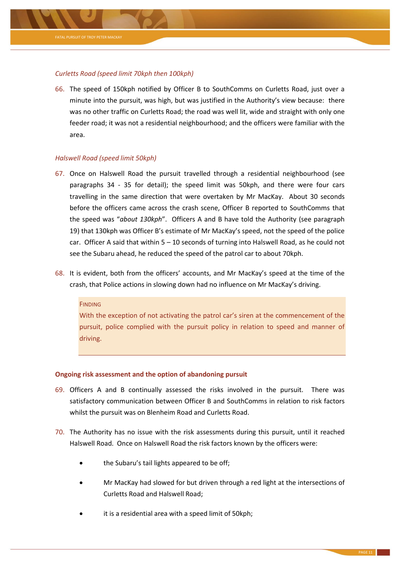

# *Curletts Road (speed limit 70kph then 100kph)*

66. The speed of 150kph notified by Officer B to SouthComms on Curletts Road, just over a minute into the pursuit, was high, but was justified in the Authority's view because: there was no other traffic on Curletts Road; the road was well lit, wide and straight with only one feeder road; it was not a residential neighbourhood; and the officers were familiar with the area.

# *Halswell Road (speed limit 50kph)*

- 67. Once on Halswell Road the pursuit travelled through a residential neighbourhood (see paragraphs [34](#page-4-0) - [35](#page-4-1) for detail); the speed limit was 50kph, and there were four cars travelling in the same direction that were overtaken by Mr MacKay. About 30 seconds before the officers came across the crash scene, Officer B reported to SouthComms that the speed was "*about 130kph*". Officers A and B have told the Authority (see paragraph 19) that 130kph was Officer B's estimate of Mr MacKay's speed, not the speed of the police car. Officer A said that within  $5 - 10$  seconds of turning into Halswell Road, as he could not see the Subaru ahead, he reduced the speed of the patrol car to about 70kph.
- 68. It is evident, both from the officers' accounts, and Mr MacKay's speed at the time of the crash, that Police actions in slowing down had no influence on Mr MacKay's driving.

#### **FINDING**

With the exception of not activating the patrol car's siren at the commencement of the pursuit, police complied with the pursuit policy in relation to speed and manner of driving.

#### **Ongoing risk assessment and the option of abandoning pursuit**

- <span id="page-10-0"></span>69. Officers A and B continually assessed the risks involved in the pursuit. There was satisfactory communication between Officer B and SouthComms in relation to risk factors whilst the pursuit was on Blenheim Road and Curletts Road.
- 70. The Authority has no issue with the risk assessments during this pursuit, until it reached Halswell Road. Once on Halswell Road the risk factors known by the officers were:
	- the Subaru's tail lights appeared to be off;
	- Mr MacKay had slowed for but driven through a red light at the intersections of Curletts Road and Halswell Road;
	- it is a residential area with a speed limit of 50kph;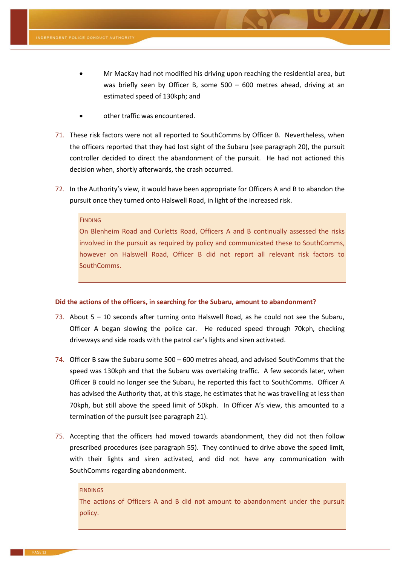- Mr MacKay had not modified his driving upon reaching the residential area, but was briefly seen by Officer B, some 500 – 600 metres ahead, driving at an estimated speed of 130kph; and
- other traffic was encountered.
- 71. These risk factors were not all reported to SouthComms by Officer B. Nevertheless, when the officers reported that they had lost sight of the Subaru (see paragraph [20\)](#page-2-0), the pursuit controller decided to direct the abandonment of the pursuit. He had not actioned this decision when, shortly afterwards, the crash occurred.
- <span id="page-11-0"></span>72. In the Authority's view, it would have been appropriate for Officers A and B to abandon the pursuit once they turned onto Halswell Road, in light of the increased risk.

#### **FINDING**

On Blenheim Road and Curletts Road, Officers A and B continually assessed the risks involved in the pursuit as required by policy and communicated these to SouthComms, however on Halswell Road, Officer B did not report all relevant risk factors to SouthComms.

#### **Did the actions of the officers, in searching for the Subaru, amount to abandonment?**

- 73. About 5 10 seconds after turning onto Halswell Road, as he could not see the Subaru, Officer A began slowing the police car. He reduced speed through 70kph, checking driveways and side roads with the patrol car's lights and siren activated.
- 74. Officer B saw the Subaru some 500 600 metres ahead, and advised SouthComms that the speed was 130kph and that the Subaru was overtaking traffic. A few seconds later, when Officer B could no longer see the Subaru, he reported this fact to SouthComms. Officer A has advised the Authority that, at this stage, he estimates that he was travelling at less than 70kph, but still above the speed limit of 50kph. In Officer A's view, this amounted to a termination of the pursuit (see paragraph [21\)](#page-3-0).
- 75. Accepting that the officers had moved towards abandonment, they did not then follow prescribed procedures (see paragraph [55\)](#page-8-0). They continued to drive above the speed limit, with their lights and siren activated, and did not have any communication with SouthComms regarding abandonment.

#### **FINDINGS**

The actions of Officers A and B did not amount to abandonment under the pursuit policy.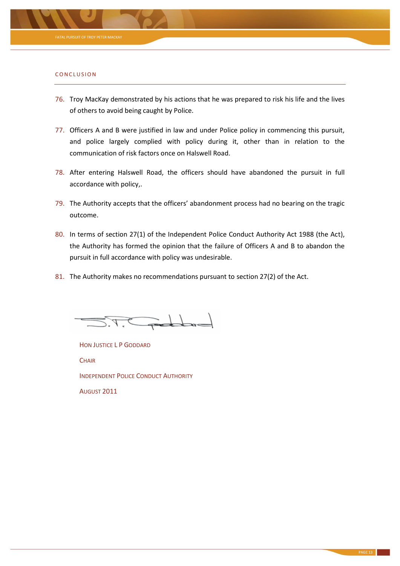

#### CONCLUSION

- 76. Troy MacKay demonstrated by his actions that he was prepared to risk his life and the lives of others to avoid being caught by Police.
- 77. Officers A and B were justified in law and under Police policy in commencing this pursuit, and police largely complied with policy during it, other than in relation to the communication of risk factors once on Halswell Road.
- 78. After entering Halswell Road, the officers should have abandoned the pursuit in full accordance with policy,.
- 79. The Authority accepts that the officers' abandonment process had no bearing on the tragic outcome.
- 80. In terms of section 27(1) of the Independent Police Conduct Authority Act 1988 (the Act), the Authority has formed the opinion that the failure of Officers A and B to abandon the pursuit in full accordance with policy was undesirable.
- 81. The Authority makes no recommendations pursuant to section 27(2) of the Act.

 $\sim$  determined

HON JUSTICE L P GODDARD **CHAIR** INDEPENDENT POLICE CONDUCT AUTHORITY AUGUST 2011